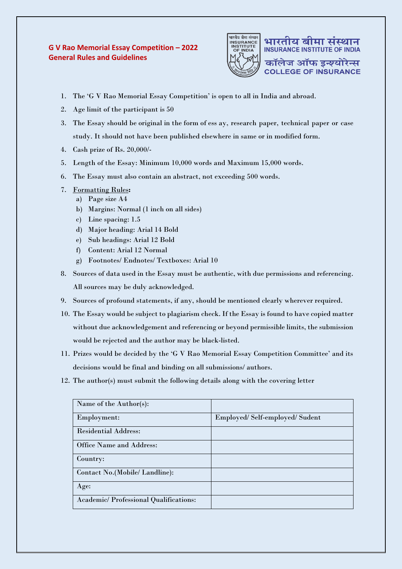## **G V Rao Memorial Essay Competition – 2022 General Rules and Guidelines**



**INSURANCE INSTITUTE OF INDIA** कॉलेज ऑफ इन्श्योरेन्स **COLLEGE OF INSURANCE** 

भारतीय बीमा संस्थान

- 1. The 'G V Rao Memorial Essay Competition' is open to all in India and abroad.
- 2. Age limit of the participant is 50
- 3. The Essay should be original in the form of ess ay, research paper, technical paper or case study. It should not have been published elsewhere in same or in modified form.
- 4. Cash prize of Rs. 20,000/-
- 5. Length of the Essay: Minimum 10,000 words and Maximum 15,000 words.
- 6. The Essay must also contain an abstract, not exceeding 500 words.
- 7. Formatting Rules**:**
	- a) Page size A4
	- b) Margins: Normal (1 inch on all sides)
	- c) Line spacing: 1.5
	- d) Major heading: Arial 14 Bold
	- e) Sub headings: Arial 12 Bold
	- f) Content: Arial 12 Normal
	- g) Footnotes/ Endnotes/ Textboxes: Arial 10
- 8. Sources of data used in the Essay must be authentic, with due permissions and referencing. All sources may be duly acknowledged.
- 9. Sources of profound statements, if any, should be mentioned clearly wherever required.
- 10. The Essay would be subject to plagiarism check. If the Essay is found to have copied matter without due acknowledgement and referencing or beyond permissible limits, the submission would be rejected and the author may be black-listed.
- 11. Prizes would be decided by the 'G V Rao Memorial Essay Competition Committee' and its decisions would be final and binding on all submissions/ authors.
- 12. The author(s) must submit the following details along with the covering letter

| Name of the Author(s):                       |                               |
|----------------------------------------------|-------------------------------|
| Employment:                                  | Employed/Self-employed/Sudent |
| <b>Residential Address:</b>                  |                               |
| Office Name and Address:                     |                               |
| Country:                                     |                               |
| Contact No.(Mobile/ Landline):               |                               |
| Age:                                         |                               |
| <b>Academic/Professional Qualifications:</b> |                               |